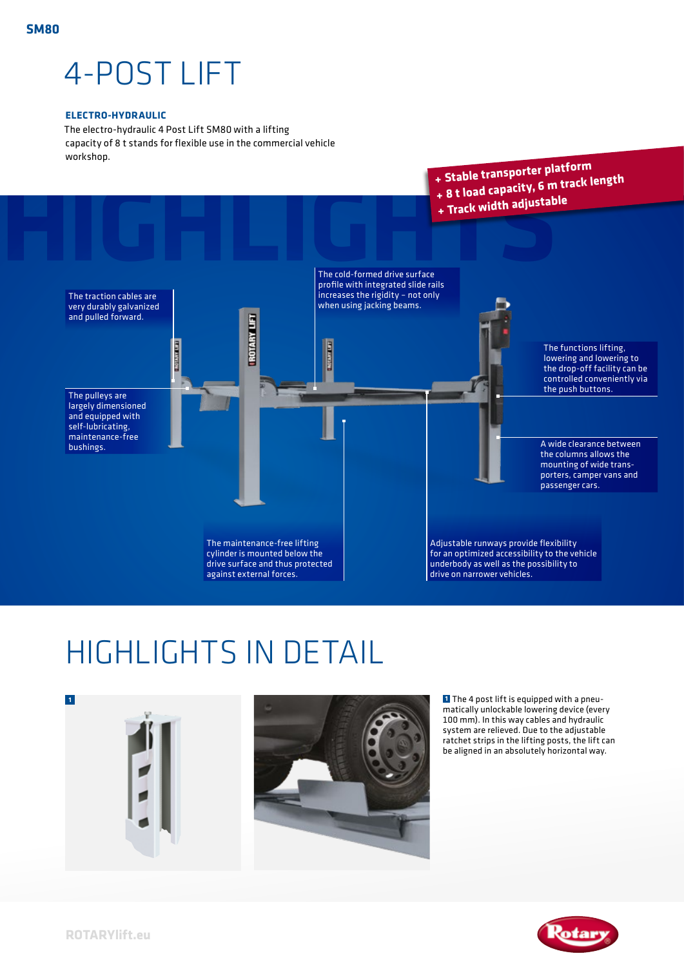## 4-POST LIFT

## **ELECTRO-HYDRAULIC**

The electro-hydraulic 4 Post Lift SM80 with a lifting capacity of 8 t stands for flexible use in the commercial vehicle workshop.



## HIGHLIGHTS IN DETAIL



**1** The 4 post lift is equipped with a pneumatically unlockable lowering device (every 100 mm). In this way cables and hydraulic system are relieved. Due to the adjustable ratchet strips in the lifting posts, the lift can be aligned in an absolutely horizontal way.